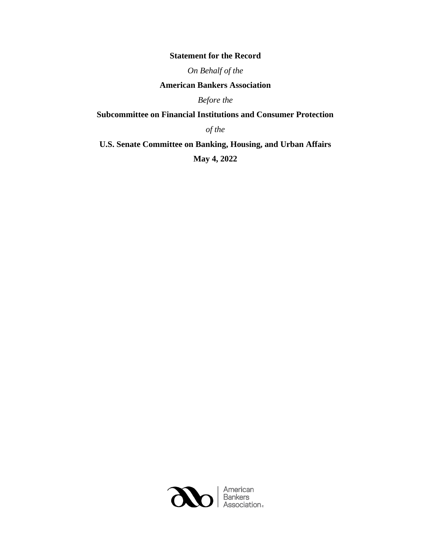**Statement for the Record**

*On Behalf of the*

**American Bankers Association**

*Before the*

**Subcommittee on Financial Institutions and Consumer Protection**

*of the*

**U.S. Senate Committee on Banking, Housing, and Urban Affairs**

**May 4, 2022**

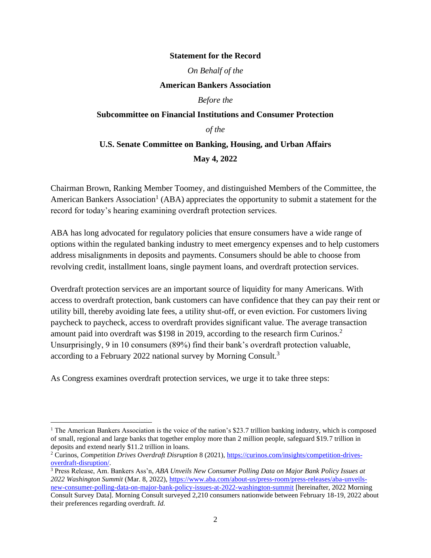#### **Statement for the Record**

*On Behalf of the*

#### **American Bankers Association**

*Before the*

# **Subcommittee on Financial Institutions and Consumer Protection**

*of the*

### **U.S. Senate Committee on Banking, Housing, and Urban Affairs**

**May 4, 2022**

Chairman Brown, Ranking Member Toomey, and distinguished Members of the Committee, the American Bankers Association<sup>1</sup> (ABA) appreciates the opportunity to submit a statement for the record for today's hearing examining overdraft protection services.

ABA has long advocated for regulatory policies that ensure consumers have a wide range of options within the regulated banking industry to meet emergency expenses and to help customers address misalignments in deposits and payments. Consumers should be able to choose from revolving credit, installment loans, single payment loans, and overdraft protection services.

Overdraft protection services are an important source of liquidity for many Americans. With access to overdraft protection, bank customers can have confidence that they can pay their rent or utility bill, thereby avoiding late fees, a utility shut-off, or even eviction. For customers living paycheck to paycheck, access to overdraft provides significant value. The average transaction amount paid into overdraft was \$198 in 2019, according to the research firm Curinos.<sup>2</sup> Unsurprisingly, 9 in 10 consumers (89%) find their bank's overdraft protection valuable, according to a February 2022 national survey by Morning Consult.<sup>3</sup>

As Congress examines overdraft protection services, we urge it to take three steps:

<sup>&</sup>lt;sup>1</sup> The American Bankers Association is the voice of the nation's \$23.7 trillion banking industry, which is composed of small, regional and large banks that together employ more than 2 million people, safeguard \$19.7 trillion in deposits and extend nearly \$11.2 trillion in loans.

<sup>2</sup> Curinos, *Competition Drives Overdraft Disruption* 8 (2021), [https://curinos.com/insights/competition-drives](https://curinos.com/insights/competition-drives-overdraft-disruption/)[overdraft-disruption/.](https://curinos.com/insights/competition-drives-overdraft-disruption/)

<sup>3</sup> Press Release, Am. Bankers Ass'n, *ABA Unveils New Consumer Polling Data on Major Bank Policy Issues at 2022 Washington Summit* (Mar. 8, 2022)[, https://www.aba.com/about-us/press-room/press-releases/aba-unveils](https://www.aba.com/about-us/press-room/press-releases/aba-unveils-new-consumer-polling-data-on-major-bank-policy-issues-at-2022-washington-summit)[new-consumer-polling-data-on-major-bank-policy-issues-at-2022-washington-summit](https://www.aba.com/about-us/press-room/press-releases/aba-unveils-new-consumer-polling-data-on-major-bank-policy-issues-at-2022-washington-summit) [hereinafter, 2022 Morning Consult Survey Data]. Morning Consult surveyed 2,210 consumers nationwide between February 18-19, 2022 about their preferences regarding overdraft. *Id.*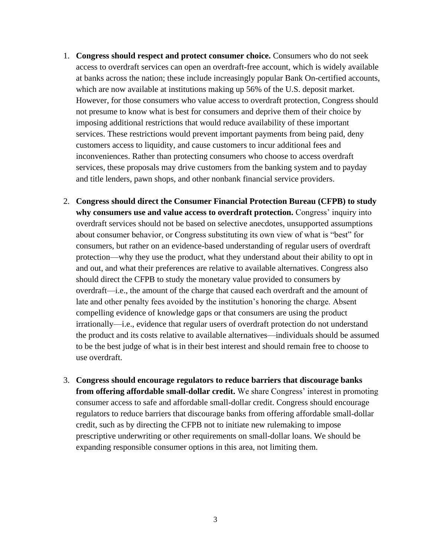- 1. **Congress should respect and protect consumer choice.** Consumers who do not seek access to overdraft services can open an overdraft-free account, which is widely available at banks across the nation; these include increasingly popular Bank On-certified accounts, which are now available at institutions making up 56% of the U.S. deposit market. However, for those consumers who value access to overdraft protection, Congress should not presume to know what is best for consumers and deprive them of their choice by imposing additional restrictions that would reduce availability of these important services. These restrictions would prevent important payments from being paid, deny customers access to liquidity, and cause customers to incur additional fees and inconveniences. Rather than protecting consumers who choose to access overdraft services, these proposals may drive customers from the banking system and to payday and title lenders, pawn shops, and other nonbank financial service providers.
- 2. **Congress should direct the Consumer Financial Protection Bureau (CFPB) to study why consumers use and value access to overdraft protection.** Congress' inquiry into overdraft services should not be based on selective anecdotes, unsupported assumptions about consumer behavior, or Congress substituting its own view of what is "best" for consumers, but rather on an evidence-based understanding of regular users of overdraft protection—why they use the product, what they understand about their ability to opt in and out, and what their preferences are relative to available alternatives. Congress also should direct the CFPB to study the monetary value provided to consumers by overdraft—i.e., the amount of the charge that caused each overdraft and the amount of late and other penalty fees avoided by the institution's honoring the charge. Absent compelling evidence of knowledge gaps or that consumers are using the product irrationally—i.e., evidence that regular users of overdraft protection do not understand the product and its costs relative to available alternatives—individuals should be assumed to be the best judge of what is in their best interest and should remain free to choose to use overdraft.
- 3. **Congress should encourage regulators to reduce barriers that discourage banks from offering affordable small-dollar credit.** We share Congress' interest in promoting consumer access to safe and affordable small-dollar credit. Congress should encourage regulators to reduce barriers that discourage banks from offering affordable small-dollar credit, such as by directing the CFPB not to initiate new rulemaking to impose prescriptive underwriting or other requirements on small-dollar loans. We should be expanding responsible consumer options in this area, not limiting them.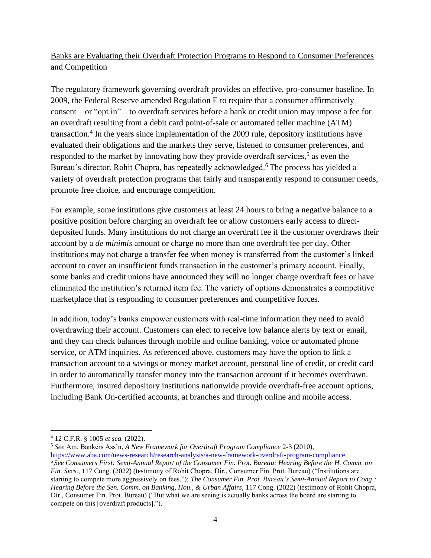# Banks are Evaluating their Overdraft Protection Programs to Respond to Consumer Preferences and Competition

The regulatory framework governing overdraft provides an effective, pro-consumer baseline. In 2009, the Federal Reserve amended Regulation E to require that a consumer affirmatively consent – or "opt in" – to overdraft services before a bank or credit union may impose a fee for an overdraft resulting from a debit card point-of-sale or automated teller machine (ATM) transaction.<sup>4</sup> In the years since implementation of the 2009 rule, depository institutions have evaluated their obligations and the markets they serve, listened to consumer preferences, and responded to the market by innovating how they provide overdraft services,<sup>5</sup> as even the Bureau's director, Rohit Chopra, has repeatedly acknowledged.<sup>6</sup> The process has yielded a variety of overdraft protection programs that fairly and transparently respond to consumer needs, promote free choice, and encourage competition.

For example, some institutions give customers at least 24 hours to bring a negative balance to a positive position before charging an overdraft fee or allow customers early access to directdeposited funds. Many institutions do not charge an overdraft fee if the customer overdraws their account by a *de minimis* amount or charge no more than one overdraft fee per day. Other institutions may not charge a transfer fee when money is transferred from the customer's linked account to cover an insufficient funds transaction in the customer's primary account. Finally, some banks and credit unions have announced they will no longer charge overdraft fees or have eliminated the institution's returned item fee. The variety of options demonstrates a competitive marketplace that is responding to consumer preferences and competitive forces.

In addition, today's banks empower customers with real-time information they need to avoid overdrawing their account. Customers can elect to receive low balance alerts by text or email, and they can check balances through mobile and online banking, voice or automated phone service, or ATM inquiries. As referenced above, customers may have the option to link a transaction account to a savings or money market account, personal line of credit, or credit card in order to automatically transfer money into the transaction account if it becomes overdrawn. Furthermore, insured depository institutions nationwide provide overdraft-free account options, including Bank On-certified accounts, at branches and through online and mobile access.

<sup>5</sup> *See* Am. Bankers Ass'n, *A New Framework for Overdraft Program Compliance* 2-3 (2010), [https://www.aba.com/news-research/research-analysis/a-new-framework-overdraft-program-compliance.](https://www.aba.com/news-research/research-analysis/a-new-framework-overdraft-program-compliance)

<sup>4</sup> 12 C.F.R. § 1005 *et seq.* (2022).

<sup>6</sup> *See Consumers First: Semi-Annual Report of the Consumer Fin. Prot. Bureau: Hearing Before the H. Comm. on Fin. Svcs.*, 117 Cong. (2022) (testimony of Rohit Chopra, Dir., Consumer Fin. Prot. Bureau) ("Institutions are starting to compete more aggressively on fees."); *The Consumer Fin. Prot. Bureau's Semi-Annual Report to Cong.: Hearing Before the Sen. Comm. on Banking, Hou., & Urban Affairs*, 117 Cong. (2022) (testimony of Rohit Chopra, Dir., Consumer Fin. Prot. Bureau) ("But what we are seeing is actually banks across the board are starting to compete on this [overdraft products].").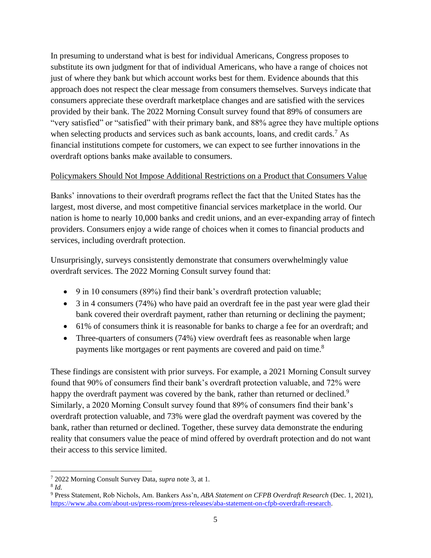In presuming to understand what is best for individual Americans, Congress proposes to substitute its own judgment for that of individual Americans, who have a range of choices not just of where they bank but which account works best for them. Evidence abounds that this approach does not respect the clear message from consumers themselves. Surveys indicate that consumers appreciate these overdraft marketplace changes and are satisfied with the services provided by their bank. The 2022 Morning Consult survey found that 89% of consumers are "very satisfied" or "satisfied" with their primary bank, and 88% agree they have multiple options when selecting products and services such as bank accounts, loans, and credit cards.<sup>7</sup> As financial institutions compete for customers, we can expect to see further innovations in the overdraft options banks make available to consumers.

## Policymakers Should Not Impose Additional Restrictions on a Product that Consumers Value

Banks' innovations to their overdraft programs reflect the fact that the United States has the largest, most diverse, and most competitive financial services marketplace in the world. Our nation is home to nearly 10,000 banks and credit unions, and an ever-expanding array of fintech providers. Consumers enjoy a wide range of choices when it comes to financial products and services, including overdraft protection.

Unsurprisingly, surveys consistently demonstrate that consumers overwhelmingly value overdraft services. The 2022 Morning Consult survey found that:

- 9 in 10 consumers (89%) find their bank's overdraft protection valuable;
- 3 in 4 consumers (74%) who have paid an overdraft fee in the past year were glad their bank covered their overdraft payment, rather than returning or declining the payment;
- 61% of consumers think it is reasonable for banks to charge a fee for an overdraft; and
- Three-quarters of consumers (74%) view overdraft fees as reasonable when large payments like mortgages or rent payments are covered and paid on time.<sup>8</sup>

These findings are consistent with prior surveys. For example, a 2021 Morning Consult survey found that 90% of consumers find their bank's overdraft protection valuable, and 72% were happy the overdraft payment was covered by the bank, rather than returned or declined.<sup>9</sup> Similarly, a 2020 Morning Consult survey found that 89% of consumers find their bank's overdraft protection valuable, and 73% were glad the overdraft payment was covered by the bank, rather than returned or declined. Together, these survey data demonstrate the enduring reality that consumers value the peace of mind offered by overdraft protection and do not want their access to this service limited.

<sup>7</sup> 2022 Morning Consult Survey Data, *supra* note 3, at 1.

<sup>8</sup> *Id.*

<sup>9</sup> Press Statement, Rob Nichols, Am. Bankers Ass'n, *ABA Statement on CFPB Overdraft Research* (Dec. 1, 2021), [https://www.aba.com/about-us/press-room/press-releases/aba-statement-on-cfpb-overdraft-research.](https://www.aba.com/about-us/press-room/press-releases/aba-statement-on-cfpb-overdraft-research)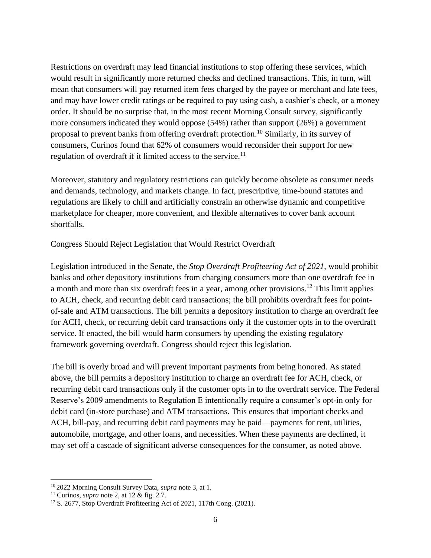Restrictions on overdraft may lead financial institutions to stop offering these services, which would result in significantly more returned checks and declined transactions. This, in turn, will mean that consumers will pay returned item fees charged by the payee or merchant and late fees, and may have lower credit ratings or be required to pay using cash, a cashier's check, or a money order. It should be no surprise that, in the most recent Morning Consult survey, significantly more consumers indicated they would oppose (54%) rather than support (26%) a government proposal to prevent banks from offering overdraft protection.<sup>10</sup> Similarly, in its survey of consumers, Curinos found that 62% of consumers would reconsider their support for new regulation of overdraft if it limited access to the service.<sup>11</sup>

Moreover, statutory and regulatory restrictions can quickly become obsolete as consumer needs and demands, technology, and markets change. In fact, prescriptive, time-bound statutes and regulations are likely to chill and artificially constrain an otherwise dynamic and competitive marketplace for cheaper, more convenient, and flexible alternatives to cover bank account shortfalls.

## Congress Should Reject Legislation that Would Restrict Overdraft

Legislation introduced in the Senate, the *Stop Overdraft Profiteering Act of 2021*, would prohibit banks and other depository institutions from charging consumers more than one overdraft fee in a month and more than six overdraft fees in a year, among other provisions.<sup>12</sup> This limit applies to ACH, check, and recurring debit card transactions; the bill prohibits overdraft fees for pointof-sale and ATM transactions. The bill permits a depository institution to charge an overdraft fee for ACH, check, or recurring debit card transactions only if the customer opts in to the overdraft service. If enacted, the bill would harm consumers by upending the existing regulatory framework governing overdraft. Congress should reject this legislation.

The bill is overly broad and will prevent important payments from being honored. As stated above, the bill permits a depository institution to charge an overdraft fee for ACH, check, or recurring debit card transactions only if the customer opts in to the overdraft service. The Federal Reserve's 2009 amendments to Regulation E intentionally require a consumer's opt-in only for debit card (in-store purchase) and ATM transactions. This ensures that important checks and ACH, bill-pay, and recurring debit card payments may be paid—payments for rent, utilities, automobile, mortgage, and other loans, and necessities. When these payments are declined, it may set off a cascade of significant adverse consequences for the consumer, as noted above.

<sup>10</sup> 2022 Morning Consult Survey Data, *supra* note 3, at 1.

<sup>11</sup> Curinos, *supra* note 2, at 12 & fig. 2.7.

<sup>12</sup> S. 2677, Stop Overdraft Profiteering Act of 2021, 117th Cong. (2021).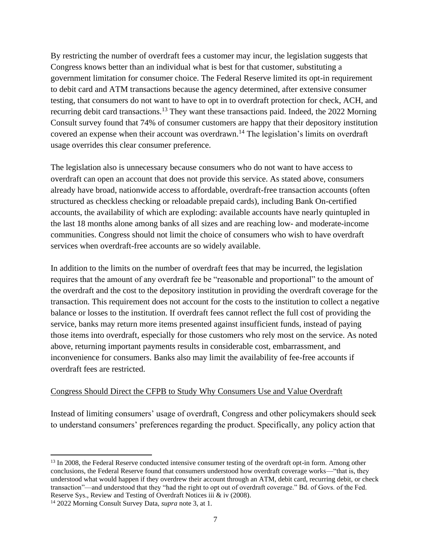By restricting the number of overdraft fees a customer may incur, the legislation suggests that Congress knows better than an individual what is best for that customer, substituting a government limitation for consumer choice. The Federal Reserve limited its opt-in requirement to debit card and ATM transactions because the agency determined, after extensive consumer testing, that consumers do not want to have to opt in to overdraft protection for check, ACH, and recurring debit card transactions.<sup>13</sup> They want these transactions paid. Indeed, the 2022 Morning Consult survey found that 74% of consumer customers are happy that their depository institution covered an expense when their account was overdrawn.<sup>14</sup> The legislation's limits on overdraft usage overrides this clear consumer preference.

The legislation also is unnecessary because consumers who do not want to have access to overdraft can open an account that does not provide this service. As stated above, consumers already have broad, nationwide access to affordable, overdraft-free transaction accounts (often structured as checkless checking or reloadable prepaid cards), including Bank On-certified accounts, the availability of which are exploding: available accounts have nearly quintupled in the last 18 months alone among banks of all sizes and are reaching low- and moderate-income communities. Congress should not limit the choice of consumers who wish to have overdraft services when overdraft-free accounts are so widely available.

In addition to the limits on the number of overdraft fees that may be incurred, the legislation requires that the amount of any overdraft fee be "reasonable and proportional" to the amount of the overdraft and the cost to the depository institution in providing the overdraft coverage for the transaction. This requirement does not account for the costs to the institution to collect a negative balance or losses to the institution. If overdraft fees cannot reflect the full cost of providing the service, banks may return more items presented against insufficient funds, instead of paying those items into overdraft, especially for those customers who rely most on the service. As noted above, returning important payments results in considerable cost, embarrassment, and inconvenience for consumers. Banks also may limit the availability of fee-free accounts if overdraft fees are restricted.

### Congress Should Direct the CFPB to Study Why Consumers Use and Value Overdraft

Instead of limiting consumers' usage of overdraft, Congress and other policymakers should seek to understand consumers' preferences regarding the product. Specifically, any policy action that

<sup>&</sup>lt;sup>13</sup> In 2008, the Federal Reserve conducted intensive consumer testing of the overdraft opt-in form. Among other conclusions, the Federal Reserve found that consumers understood how overdraft coverage works—"that is, they understood what would happen if they overdrew their account through an ATM, debit card, recurring debit, or check transaction"—and understood that they "had the right to opt out of overdraft coverage." Bd. of Govs. of the Fed. Reserve Sys., Review and Testing of Overdraft Notices iii & iv (2008).

<sup>14</sup> 2022 Morning Consult Survey Data, *supra* note 3, at 1.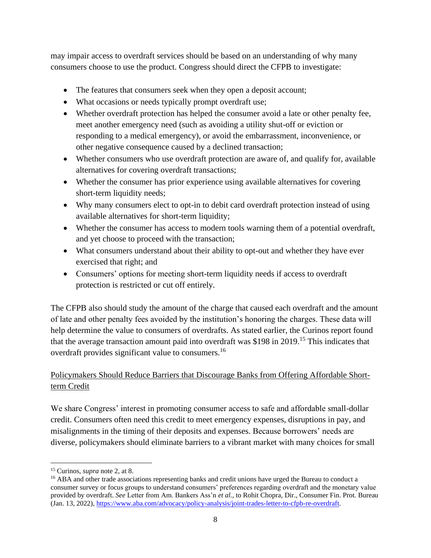may impair access to overdraft services should be based on an understanding of why many consumers choose to use the product. Congress should direct the CFPB to investigate:

- The features that consumers seek when they open a deposit account;
- What occasions or needs typically prompt overdraft use;
- Whether overdraft protection has helped the consumer avoid a late or other penalty fee, meet another emergency need (such as avoiding a utility shut-off or eviction or responding to a medical emergency), or avoid the embarrassment, inconvenience, or other negative consequence caused by a declined transaction;
- Whether consumers who use overdraft protection are aware of, and qualify for, available alternatives for covering overdraft transactions;
- Whether the consumer has prior experience using available alternatives for covering short-term liquidity needs;
- Why many consumers elect to opt-in to debit card overdraft protection instead of using available alternatives for short-term liquidity;
- Whether the consumer has access to modern tools warning them of a potential overdraft, and yet choose to proceed with the transaction;
- What consumers understand about their ability to opt-out and whether they have ever exercised that right; and
- Consumers' options for meeting short-term liquidity needs if access to overdraft protection is restricted or cut off entirely.

The CFPB also should study the amount of the charge that caused each overdraft and the amount of late and other penalty fees avoided by the institution's honoring the charges. These data will help determine the value to consumers of overdrafts. As stated earlier, the Curinos report found that the average transaction amount paid into overdraft was \$198 in 2019.<sup>15</sup> This indicates that overdraft provides significant value to consumers.<sup>16</sup>

# Policymakers Should Reduce Barriers that Discourage Banks from Offering Affordable Shortterm Credit

We share Congress' interest in promoting consumer access to safe and affordable small-dollar credit. Consumers often need this credit to meet emergency expenses, disruptions in pay, and misalignments in the timing of their deposits and expenses. Because borrowers' needs are diverse, policymakers should eliminate barriers to a vibrant market with many choices for small

<sup>15</sup> Curinos, *supra* note 2, at 8.

<sup>&</sup>lt;sup>16</sup> ABA and other trade associations representing banks and credit unions have urged the Bureau to conduct a consumer survey or focus groups to understand consumers' preferences regarding overdraft and the monetary value provided by overdraft. *See* Letter from Am. Bankers Ass'n *et al.*, to Rohit Chopra, Dir., Consumer Fin. Prot. Bureau (Jan. 13, 2022), [https://www.aba.com/advocacy/policy-analysis/joint-trades-letter-to-cfpb-re-overdraft.](https://www.aba.com/advocacy/policy-analysis/joint-trades-letter-to-cfpb-re-overdraft)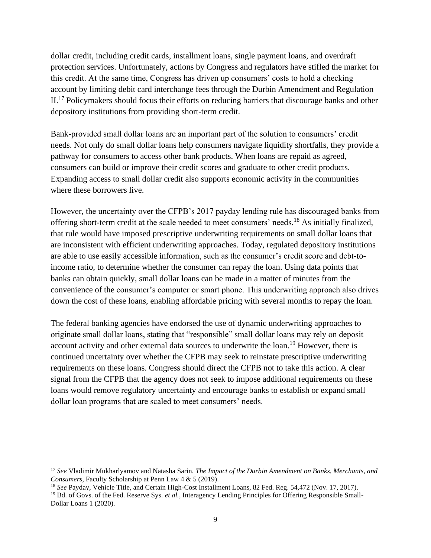dollar credit, including credit cards, installment loans, single payment loans, and overdraft protection services. Unfortunately, actions by Congress and regulators have stifled the market for this credit. At the same time, Congress has driven up consumers' costs to hold a checking account by limiting debit card interchange fees through the Durbin Amendment and Regulation II.<sup>17</sup> Policymakers should focus their efforts on reducing barriers that discourage banks and other depository institutions from providing short-term credit.

Bank-provided small dollar loans are an important part of the solution to consumers' credit needs. Not only do small dollar loans help consumers navigate liquidity shortfalls, they provide a pathway for consumers to access other bank products. When loans are repaid as agreed, consumers can build or improve their credit scores and graduate to other credit products. Expanding access to small dollar credit also supports economic activity in the communities where these borrowers live.

However, the uncertainty over the CFPB's 2017 payday lending rule has discouraged banks from offering short-term credit at the scale needed to meet consumers' needs.<sup>18</sup> As initially finalized, that rule would have imposed prescriptive underwriting requirements on small dollar loans that are inconsistent with efficient underwriting approaches. Today, regulated depository institutions are able to use easily accessible information, such as the consumer's credit score and debt-toincome ratio, to determine whether the consumer can repay the loan. Using data points that banks can obtain quickly, small dollar loans can be made in a matter of minutes from the convenience of the consumer's computer or smart phone. This underwriting approach also drives down the cost of these loans, enabling affordable pricing with several months to repay the loan.

The federal banking agencies have endorsed the use of dynamic underwriting approaches to originate small dollar loans, stating that "responsible" small dollar loans may rely on deposit account activity and other external data sources to underwrite the loan.<sup>19</sup> However, there is continued uncertainty over whether the CFPB may seek to reinstate prescriptive underwriting requirements on these loans. Congress should direct the CFPB not to take this action. A clear signal from the CFPB that the agency does not seek to impose additional requirements on these loans would remove regulatory uncertainty and encourage banks to establish or expand small dollar loan programs that are scaled to meet consumers' needs.

<sup>17</sup> *See* Vladimir Mukharlyamov and Natasha Sarin, *The Impact of the Durbin Amendment on Banks, Merchants, and Consumers*, Faculty Scholarship at Penn Law 4 & 5 (2019).

<sup>18</sup> *See* Payday, Vehicle Title, and Certain High-Cost Installment Loans, 82 Fed. Reg. 54,472 (Nov. 17, 2017).

<sup>&</sup>lt;sup>19</sup> Bd. of Govs. of the Fed. Reserve Sys. *et al.*, Interagency Lending Principles for Offering Responsible Small-Dollar Loans 1 (2020).